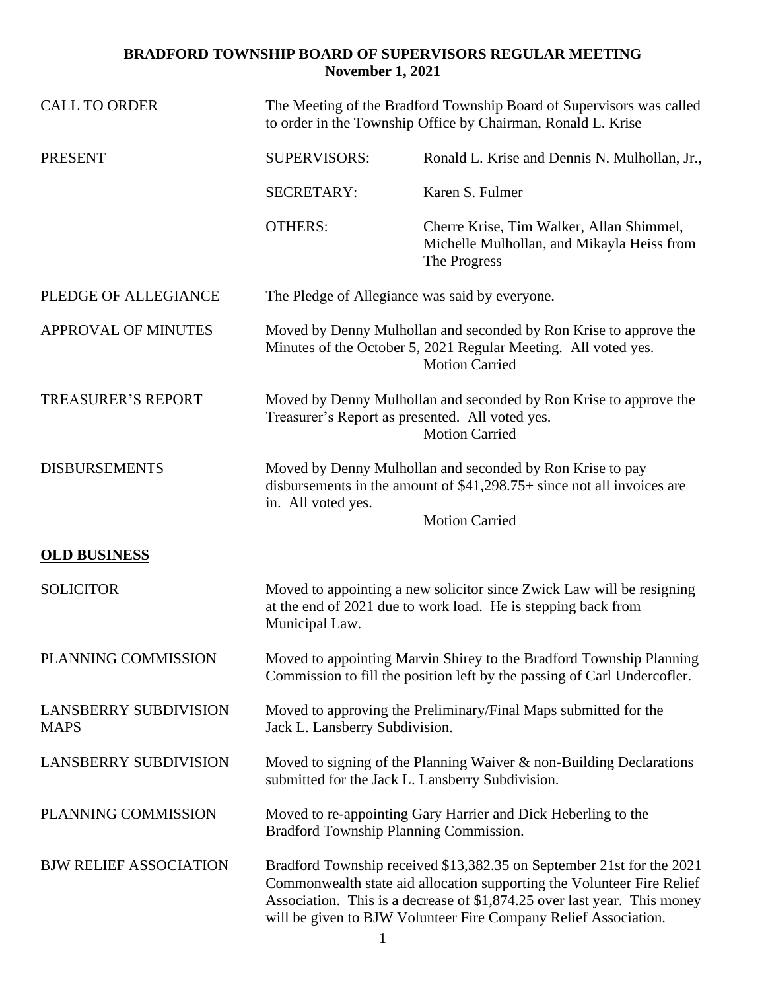## **BRADFORD TOWNSHIP BOARD OF SUPERVISORS REGULAR MEETING November 1, 2021**

| <b>CALL TO ORDER</b>                        | The Meeting of the Bradford Township Board of Supervisors was called<br>to order in the Township Office by Chairman, Ronald L. Krise                                                                                                                                                           |                                                                                                                                                              |
|---------------------------------------------|------------------------------------------------------------------------------------------------------------------------------------------------------------------------------------------------------------------------------------------------------------------------------------------------|--------------------------------------------------------------------------------------------------------------------------------------------------------------|
| <b>PRESENT</b>                              | <b>SUPERVISORS:</b>                                                                                                                                                                                                                                                                            | Ronald L. Krise and Dennis N. Mulhollan, Jr.,                                                                                                                |
|                                             | <b>SECRETARY:</b>                                                                                                                                                                                                                                                                              | Karen S. Fulmer                                                                                                                                              |
|                                             | <b>OTHERS:</b>                                                                                                                                                                                                                                                                                 | Cherre Krise, Tim Walker, Allan Shimmel,<br>Michelle Mulhollan, and Mikayla Heiss from<br>The Progress                                                       |
| PLEDGE OF ALLEGIANCE                        | The Pledge of Allegiance was said by everyone.                                                                                                                                                                                                                                                 |                                                                                                                                                              |
| <b>APPROVAL OF MINUTES</b>                  |                                                                                                                                                                                                                                                                                                | Moved by Denny Mulhollan and seconded by Ron Krise to approve the<br>Minutes of the October 5, 2021 Regular Meeting. All voted yes.<br><b>Motion Carried</b> |
| <b>TREASURER'S REPORT</b>                   |                                                                                                                                                                                                                                                                                                | Moved by Denny Mulhollan and seconded by Ron Krise to approve the<br>Treasurer's Report as presented. All voted yes.<br><b>Motion Carried</b>                |
| <b>DISBURSEMENTS</b>                        | Moved by Denny Mulhollan and seconded by Ron Krise to pay<br>disbursements in the amount of $$41,298.75+$ since not all invoices are<br>in. All voted yes.<br><b>Motion Carried</b>                                                                                                            |                                                                                                                                                              |
| <b>OLD BUSINESS</b>                         |                                                                                                                                                                                                                                                                                                |                                                                                                                                                              |
| <b>SOLICITOR</b>                            | Moved to appointing a new solicitor since Zwick Law will be resigning<br>at the end of 2021 due to work load. He is stepping back from<br>Municipal Law.                                                                                                                                       |                                                                                                                                                              |
| PLANNING COMMISSION                         | Moved to appointing Marvin Shirey to the Bradford Township Planning<br>Commission to fill the position left by the passing of Carl Undercofler.                                                                                                                                                |                                                                                                                                                              |
| <b>LANSBERRY SUBDIVISION</b><br><b>MAPS</b> | Moved to approving the Preliminary/Final Maps submitted for the<br>Jack L. Lansberry Subdivision.                                                                                                                                                                                              |                                                                                                                                                              |
| <b>LANSBERRY SUBDIVISION</b>                | Moved to signing of the Planning Waiver $\&$ non-Building Declarations<br>submitted for the Jack L. Lansberry Subdivision.                                                                                                                                                                     |                                                                                                                                                              |
| PLANNING COMMISSION                         | Moved to re-appointing Gary Harrier and Dick Heberling to the<br>Bradford Township Planning Commission.                                                                                                                                                                                        |                                                                                                                                                              |
| <b>BJW RELIEF ASSOCIATION</b>               | Bradford Township received \$13,382.35 on September 21st for the 2021<br>Commonwealth state aid allocation supporting the Volunteer Fire Relief<br>Association. This is a decrease of \$1,874.25 over last year. This money<br>will be given to BJW Volunteer Fire Company Relief Association. |                                                                                                                                                              |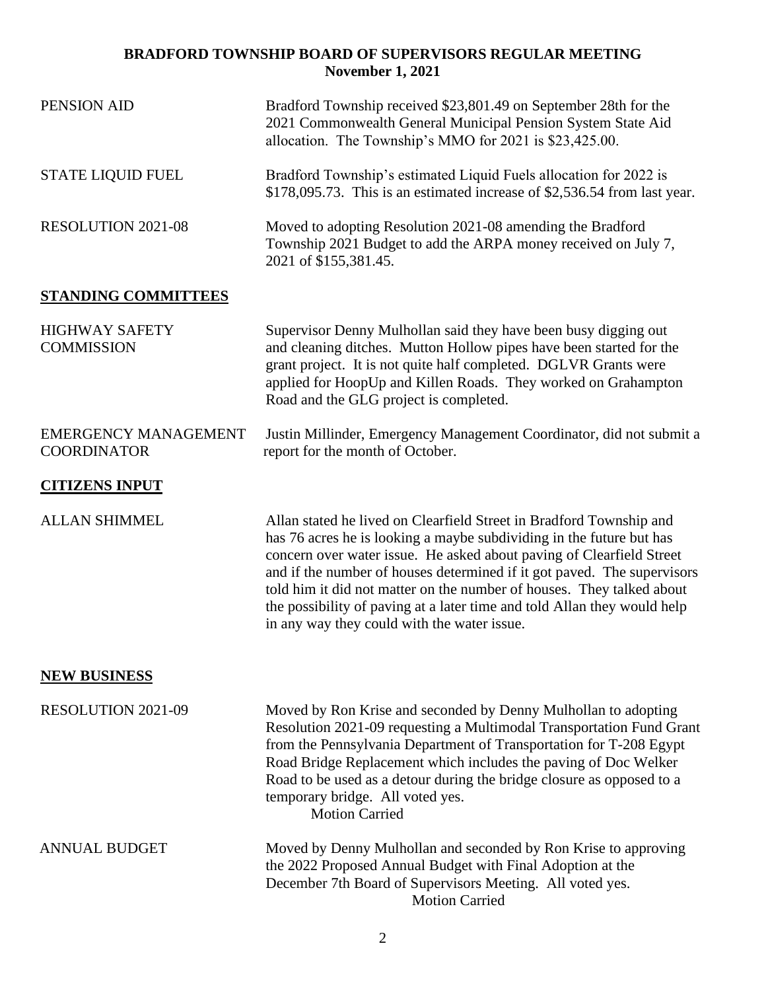## **BRADFORD TOWNSHIP BOARD OF SUPERVISORS REGULAR MEETING November 1, 2021**

| PENSION AID                                       | Bradford Township received \$23,801.49 on September 28th for the<br>2021 Commonwealth General Municipal Pension System State Aid<br>allocation. The Township's MMO for 2021 is \$23,425.00.                                                                                                                                                                                                                                                                                                        |  |
|---------------------------------------------------|----------------------------------------------------------------------------------------------------------------------------------------------------------------------------------------------------------------------------------------------------------------------------------------------------------------------------------------------------------------------------------------------------------------------------------------------------------------------------------------------------|--|
| <b>STATE LIQUID FUEL</b>                          | Bradford Township's estimated Liquid Fuels allocation for 2022 is<br>\$178,095.73. This is an estimated increase of \$2,536.54 from last year.                                                                                                                                                                                                                                                                                                                                                     |  |
| <b>RESOLUTION 2021-08</b>                         | Moved to adopting Resolution 2021-08 amending the Bradford<br>Township 2021 Budget to add the ARPA money received on July 7,<br>2021 of \$155,381.45.                                                                                                                                                                                                                                                                                                                                              |  |
| <b>STANDING COMMITTEES</b>                        |                                                                                                                                                                                                                                                                                                                                                                                                                                                                                                    |  |
| <b>HIGHWAY SAFETY</b><br><b>COMMISSION</b>        | Supervisor Denny Mulhollan said they have been busy digging out<br>and cleaning ditches. Mutton Hollow pipes have been started for the<br>grant project. It is not quite half completed. DGLVR Grants were<br>applied for HoopUp and Killen Roads. They worked on Grahampton<br>Road and the GLG project is completed.                                                                                                                                                                             |  |
| <b>EMERGENCY MANAGEMENT</b><br><b>COORDINATOR</b> | Justin Millinder, Emergency Management Coordinator, did not submit a<br>report for the month of October.                                                                                                                                                                                                                                                                                                                                                                                           |  |
| <b>CITIZENS INPUT</b>                             |                                                                                                                                                                                                                                                                                                                                                                                                                                                                                                    |  |
| <b>ALLAN SHIMMEL</b>                              | Allan stated he lived on Clearfield Street in Bradford Township and<br>has 76 acres he is looking a maybe subdividing in the future but has<br>concern over water issue. He asked about paving of Clearfield Street<br>and if the number of houses determined if it got paved. The supervisors<br>told him it did not matter on the number of houses. They talked about<br>the possibility of paving at a later time and told Allan they would help<br>in any way they could with the water issue. |  |
| <b>NEW BUSINESS</b>                               |                                                                                                                                                                                                                                                                                                                                                                                                                                                                                                    |  |
| <b>RESOLUTION 2021-09</b>                         | Moved by Ron Krise and seconded by Denny Mulhollan to adopting<br>Resolution 2021-09 requesting a Multimodal Transportation Fund Grant<br>from the Pennsylvania Department of Transportation for T-208 Egypt<br>Road Bridge Replacement which includes the paving of Doc Welker<br>Road to be used as a detour during the bridge closure as opposed to a<br>temporary bridge. All voted yes.<br><b>Motion Carried</b>                                                                              |  |
| <b>ANNUAL BUDGET</b>                              | Moved by Denny Mulhollan and seconded by Ron Krise to approving<br>the 2022 Proposed Annual Budget with Final Adoption at the<br>December 7th Board of Supervisors Meeting. All voted yes.<br><b>Motion Carried</b>                                                                                                                                                                                                                                                                                |  |